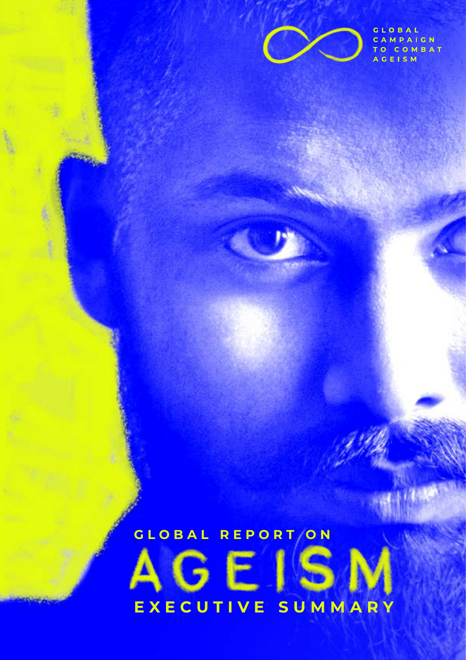

**GLOBAL** CAMPAIGN TO COMBAT **ACEISM** 

# **GLOBAL REPORT ON EXECUTIVE SUMMARY**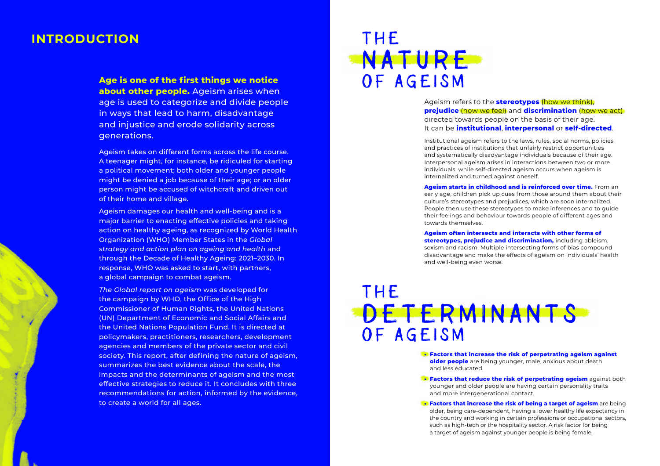## THE NATURE OF AGEISM

#### Ageism refers to the **stereotypes** (how we think), **prejudice** (how we feel) and **discrimination** (how we act) directed towards people on the basis of their age. It can be **institutional**, **interpersonal** or **self-directed**.

Institutional ageism refers to the laws, rules, social norms, policies and practices of institutions that unfairly restrict opportunities and systematically disadvantage individuals because of their age. Interpersonal ageism arises in interactions between two or more individuals, while self-directed ageism occurs when ageism is internalized and turned against oneself.

**• Factors that reduce the risk of perpetrating ageism** against both younger and older people are having certain personality traits

**Ageism starts in childhood and is reinforced over time.** From an early age, children pick up cues from those around them about their culture's stereotypes and prejudices, which are soon internalized. People then use these stereotypes to make inferences and to guide their feelings and behaviour towards people of different ages and towards themselves.

**• Factors that increase the risk of being a target of ageism** are being older, being care-dependent, having a lower healthy life expectancy in the country and working in certain professions or occupational sectors, such as high-tech or the hospitality sector. A risk factor for being a target of ageism against younger people is being female.

#### **Ageism often intersects and interacts with other forms of**



**stereotypes, prejudice and discrimination,** including ableism, sexism and racism. Multiple intersecting forms of bias compound disadvantage and make the effects of ageism on individuals' health and well-being even worse.

### THE DETERMINANTS OF AGEISM

**• Factors that increase the risk of perpetrating ageism against older people** are being younger, male, anxious about death

- and less educated.
- and more intergenerational contact.
- 

### **INTRODUCTION**

**Age is one of the first things we notice about other people.** Ageism arises when age is used to categorize and divide people in ways that lead to harm, disadvantage and injustice and erode solidarity across generations.

Ageism takes on different forms across the life course. A teenager might, for instance, be ridiculed for starting a political movement; both older and younger people might be denied a job because of their age; or an older person might be accused of witchcraft and driven out of their home and village.

Ageism damages our health and well-being and is a major barrier to enacting effective policies and taking action on healthy ageing, as recognized by World Health Organization (WHO) Member States in the *Global strategy and action plan on ageing and health* and through the Decade of Healthy Ageing: 2021–2030. In response, WHO was asked to start, with partners, a global campaign to combat ageism.

*The Global report on ageism* was developed for the campaign by WHO, the Office of the High Commissioner of Human Rights, the United Nations (UN) Department of Economic and Social Affairs and the United Nations Population Fund. It is directed at policymakers, practitioners, researchers, development agencies and members of the private sector and civil society. This report, after defining the nature of ageism, summarizes the best evidence about the scale, the impacts and the determinants of ageism and the most effective strategies to reduce it. It concludes with three recommendations for action, informed by the evidence, to create a world for all ages.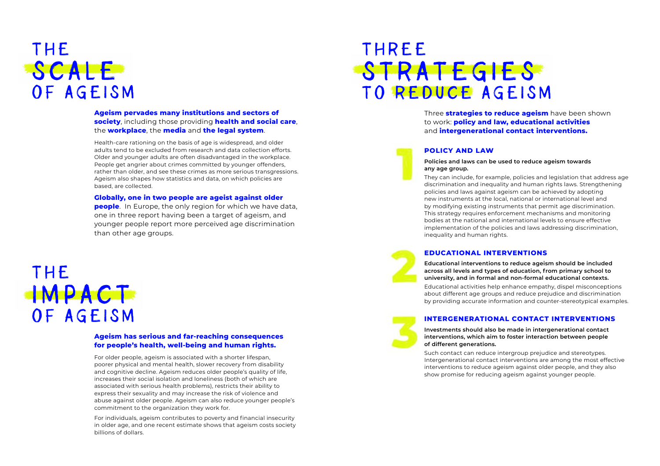## THREE STRATEGIES TO REDUCE AGEISM

Three **strategies to reduce ageism** have been shown to work: **policy and law, educational activities**  and **intergenerational contact interventions.**

#### **POLICY AND LAW**

#### **Policies and laws can be used to reduce ageism towards any age group.**

They can include, for example, policies and legislation that address age discrimination and inequality and human rights laws. Strengthening policies and laws against ageism can be achieved by adopting new instruments at the local, national or international level and by modifying existing instruments that permit age discrimination. This strategy requires enforcement mechanisms and monitoring bodies at the national and international levels to ensure effective implementation of the policies and laws addressing discrimination, inequality and human rights.

#### **EDUCATIONAL INTERVENTIONS**

**Educational interventions to reduce ageism should be included across all levels and types of education, from primary school to university, and in formal and non-formal educational contexts.**  Educational activities help enhance empathy, dispel misconceptions about different age groups and reduce prejudice and discrimination by providing accurate information and counter-stereotypical examples.

#### **INTERGENERATIONAL CONTACT INTERVENTIONS**

**people**. In Europe, the only region for which we have data, one in three report having been a target of ageism, and younger people report more perceived age discrimination than other age groups.

> **Investments should also be made in intergenerational contact interventions, which aim to foster interaction between people of different generations.**

Such contact can reduce intergroup prejudice and stereotypes. Intergenerational contact interventions are among the most effective interventions to reduce ageism against older people, and they also show promise for reducing ageism against younger people.



### THE SCALE OF AGEISM

**Ageism pervades many institutions and sectors of society**, including those providing **health and social care**, the **workplace**, the **media** and **the legal system**.

Health-care rationing on the basis of age is widespread, and older adults tend to be excluded from research and data collection efforts. Older and younger adults are often disadvantaged in the workplace. People get angrier about crimes committed by younger offenders, rather than older, and see these crimes as more serious transgressions. Ageism also shapes how statistics and data, on which policies are based, are collected.

#### **Globally, one in two people are ageist against older**

## THE IMPACT OF AGEISM

#### **Ageism has serious and far-reaching consequences for people's health, well-being and human rights.**

For older people, ageism is associated with a shorter lifespan, poorer physical and mental health, slower recovery from disability and cognitive decline. Ageism reduces older people's quality of life, increases their social isolation and loneliness (both of which are associated with serious health problems), restricts their ability to express their sexuality and may increase the risk of violence and abuse against older people. Ageism can also reduce younger people's commitment to the organization they work for.

For individuals, ageism contributes to poverty and financial insecurity in older age, and one recent estimate shows that ageism costs society billions of dollars.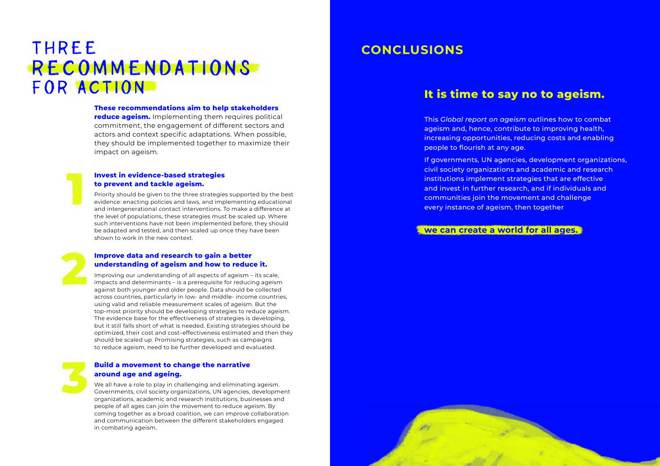### THREE RECOMMENDATIONS FOR ACTION

**These recommendations aim to help stakeholders** 

**reduce ageism.** Implementing them requires political commitment, the engagement of different sectors and actors and context specific adaptations. When possible, they should be implemented together to maximize their impact on ageism.

#### **Invest in evidence-based strategies to prevent and tackle ageism.**

Priority should be given to the three strategies supported by the best evidence: enacting policies and laws, and implementing educational and intergenerational contact interventions. To make a difference at the level of populations, these strategies must be scaled up. Where such interventions have not been implemented before, they should be adapted and tested, and then scaled up once they have been shown to work in the new context.



#### **Improve data and research to gain a better understanding of ageism and how to reduce it.**

Improving our understanding of all aspects of ageism – its scale, impacts and determinants – is a prerequisite for reducing ageism against both younger and older people. Data should be collected across countries, particularly in low- and middle- income countries, using valid and reliable measurement scales of ageism. But the top-most priority should be developing strategies to reduce ageism. The evidence base for the effectiveness of strategies is developing, but it still falls short of what is needed. Existing strategies should be optimized, their cost and cost–effectiveness estimated and then they should be scaled up. Promising strategies, such as campaigns to reduce ageism, need to be further developed and evaluated.



#### **Build a movement to change the narrative around age and ageing.**

We all have a role to play in challenging and eliminating ageism. Governments, civil society organizations, UN agencies, development organizations, academic and research institutions, businesses and people of all ages can join the movement to reduce ageism. By coming together as a broad coalition, we can improve collaboration and communication between the different stakeholders engaged in combating ageism.

### **It is time to say no to ageism.**

This *Global report on ageism* outlines how to combat ageism and, hence, contribute to improving health, increasing opportunities, reducing costs and enabling people to flourish at any age.

If governments, UN agencies, development organizations, civil society organizations and academic and research institutions implement strategies that are effective and invest in further research, and if individuals and communities join the movement and challenge every instance of ageism, then together

#### **we can create a world for all ages.**

### **CONCLUSIONS**